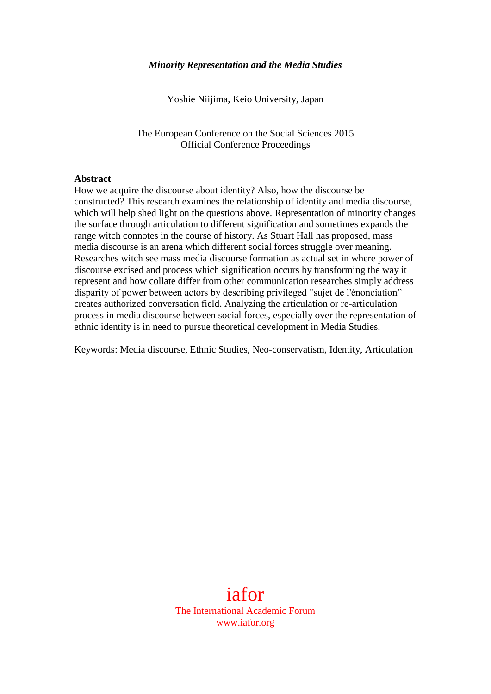#### *Minority Representation and the Media Studies*

Yoshie Niijima, Keio University, Japan

The European Conference on the Social Sciences 2015 Official Conference Proceedings

#### **Abstract**

How we acquire the discourse about identity? Also, how the discourse be constructed? This research examines the relationship of identity and media discourse, which will help shed light on the questions above. Representation of minority changes the surface through articulation to different signification and sometimes expands the range witch connotes in the course of history. As Stuart Hall has proposed, mass media discourse is an arena which different social forces struggle over meaning. Researches witch see mass media discourse formation as actual set in where power of discourse excised and process which signification occurs by transforming the way it represent and how collate differ from other communication researches simply address disparity of power between actors by describing privileged "sujet de l'énonciation" creates authorized conversation field. Analyzing the articulation or re-articulation process in media discourse between social forces, especially over the representation of ethnic identity is in need to pursue theoretical development in Media Studies.

Keywords: Media discourse, Ethnic Studies, Neo-conservatism, Identity, Articulation

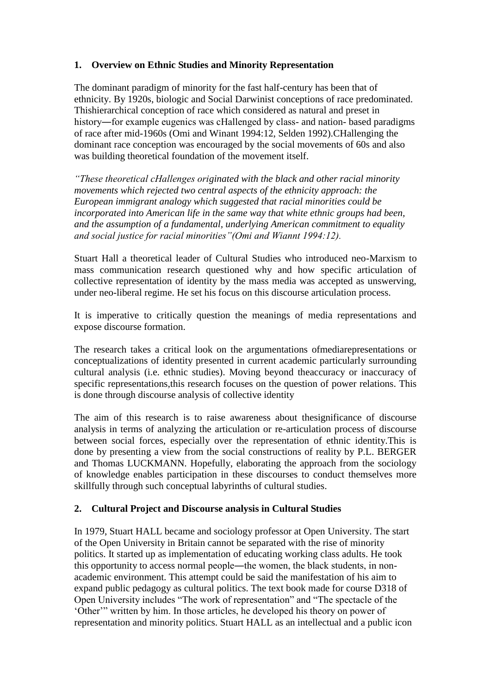# **1. Overview on Ethnic Studies and Minority Representation**

The dominant paradigm of minority for the fast half-century has been that of ethnicity. By 1920s, biologic and Social Darwinist conceptions of race predominated. Thishierarchical conception of race which considered as natural and preset in history—for example eugenics was cHallenged by class- and nation- based paradigms of race after mid-1960s (Omi and Winant 1994:12, Selden 1992).CHallenging the dominant race conception was encouraged by the social movements of 60s and also was building theoretical foundation of the movement itself.

*"These theoretical cHallenges originated with the black and other racial minority movements which rejected two central aspects of the ethnicity approach: the European immigrant analogy which suggested that racial minorities could be incorporated into American life in the same way that white ethnic groups had been, and the assumption of a fundamental, underlying American commitment to equality and social justice for racial minorities"(Omi and Wiannt 1994:12).*

Stuart Hall a theoretical leader of Cultural Studies who introduced neo-Marxism to mass communication research questioned why and how specific articulation of collective representation of identity by the mass media was accepted as unswerving, under neo-liberal regime. He set his focus on this discourse articulation process.

It is imperative to critically question the meanings of media representations and expose discourse formation.

The research takes a critical look on the argumentations ofmediarepresentations or conceptualizations of identity presented in current academic particularly surrounding cultural analysis (i.e. ethnic studies). Moving beyond theaccuracy or inaccuracy of specific representations,this research focuses on the question of power relations. This is done through discourse analysis of collective identity

The aim of this research is to raise awareness about thesignificance of discourse analysis in terms of analyzing the articulation or re-articulation process of discourse between social forces, especially over the representation of ethnic identity.This is done by presenting a view from the social constructions of reality by P.L. BERGER and Thomas LUCKMANN. Hopefully, elaborating the approach from the sociology of knowledge enables participation in these discourses to conduct themselves more skillfully through such conceptual labyrinths of cultural studies.

# **2. Cultural Project and Discourse analysis in Cultural Studies**

In 1979, Stuart HALL became and sociology professor at Open University. The start of the Open University in Britain cannot be separated with the rise of minority politics. It started up as implementation of educating working class adults. He took this opportunity to access normal people―the women, the black students, in nonacademic environment. This attempt could be said the manifestation of his aim to expand public pedagogy as cultural politics. The text book made for course D318 of Open University includes "The work of representation" and "The spectacle of the 'Other'" written by him. In those articles, he developed his theory on power of representation and minority politics. Stuart HALL as an intellectual and a public icon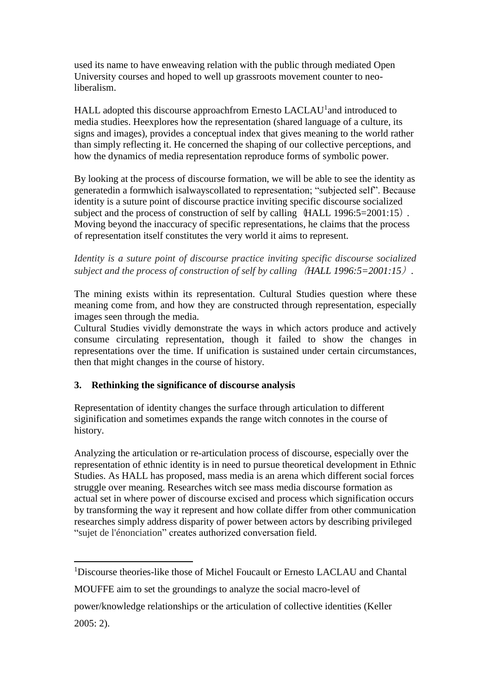used its name to have enweaving relation with the public through mediated Open University courses and hoped to well up grassroots movement counter to neoliberalism.

HALL adopted this discourse approachfrom Ernesto LACLAU<sup>1</sup> and introduced to media studies. Heexplores how the representation (shared language of a culture, its signs and images), provides a conceptual index that gives meaning to the world rather than simply reflecting it. He concerned the shaping of our collective perceptions, and how the dynamics of media representation reproduce forms of symbolic power.

By looking at the process of discourse formation, we will be able to see the identity as generatedin a formwhich isalwayscollated to representation; "subjected self". Because identity is a suture point of discourse practice inviting specific discourse socialized subject and the process of construction of self by calling  $(HALL 1996:5=2001:15)$ . Moving beyond the inaccuracy of specific representations, he claims that the process of representation itself constitutes the very world it aims to represent.

*Identity is a suture point of discourse practice inviting specific discourse socialized subject and the process of construction of self by calling*(*HALL 1996:5=2001:15*)*.* 

The mining exists within its representation. Cultural Studies question where these meaning come from, and how they are constructed through representation, especially images seen through the media.

Cultural Studies vividly demonstrate the ways in which actors produce and actively consume circulating representation, though it failed to show the changes in representations over the time. If unification is sustained under certain circumstances, then that might changes in the course of history.

### **3. Rethinking the significance of discourse analysis**

Representation of identity changes the surface through articulation to different siginification and sometimes expands the range witch connotes in the course of history.

Analyzing the articulation or re-articulation process of discourse, especially over the representation of ethnic identity is in need to pursue theoretical development in Ethnic Studies. As HALL has proposed, mass media is an arena which different social forces struggle over meaning. Researches witch see mass media discourse formation as actual set in where power of discourse excised and process which signification occurs by transforming the way it represent and how collate differ from other communication researches simply address disparity of power between actors by describing privileged "sujet de l'énonciation" creates authorized conversation field.

2005: 2).

<sup>1</sup> <sup>1</sup>Discourse theories-like those of Michel Foucault or Ernesto LACLAU and Chantal

MOUFFE aim to set the groundings to analyze the social macro-level of

power/knowledge relationships or the articulation of collective identities (Keller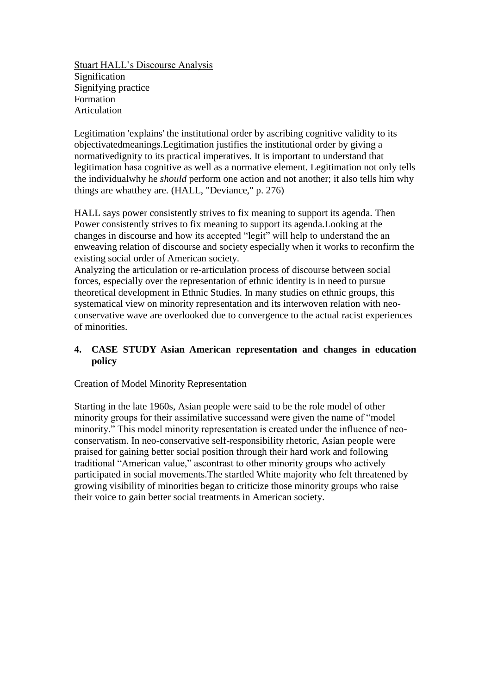Stuart HALL's Discourse Analysis Signification Signifying practice Formation Articulation

Legitimation 'explains' the institutional order by ascribing cognitive validity to its objectivatedmeanings.Legitimation justifies the institutional order by giving a normativedignity to its practical imperatives. It is important to understand that legitimation hasa cognitive as well as a normative element. Legitimation not only tells the individualwhy he *should* perform one action and not another; it also tells him why things are whatthey are. (HALL, "Deviance," p. 276)

HALL says power consistently strives to fix meaning to support its agenda. Then Power consistently strives to fix meaning to support its agenda.Looking at the changes in discourse and how its accepted "legit" will help to understand the an enweaving relation of discourse and society especially when it works to reconfirm the existing social order of American society.

Analyzing the articulation or re-articulation process of discourse between social forces, especially over the representation of ethnic identity is in need to pursue theoretical development in Ethnic Studies. In many studies on ethnic groups, this systematical view on minority representation and its interwoven relation with neoconservative wave are overlooked due to convergence to the actual racist experiences of minorities.

# **4. CASE STUDY Asian American representation and changes in education policy**

### Creation of Model Minority Representation

Starting in the late 1960s, Asian people were said to be the role model of other minority groups for their assimilative successand were given the name of "model minority." This model minority representation is created under the influence of neoconservatism. In neo-conservative self-responsibility rhetoric, Asian people were praised for gaining better social position through their hard work and following traditional "American value," ascontrast to other minority groups who actively participated in social movements.The startled White majority who felt threatened by growing visibility of minorities began to criticize those minority groups who raise their voice to gain better social treatments in American society.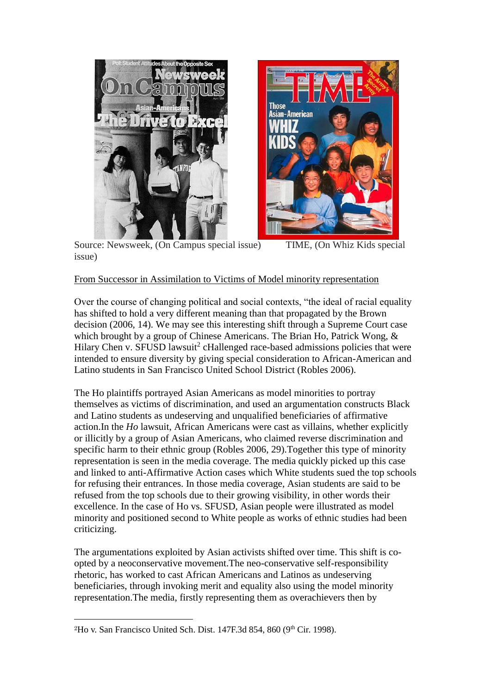



Source: Newsweek, (On Campus special issue) TIME, (On Whiz Kids special issue)

# From Successor in Assimilation to Victims of Model minority representation

Over the course of changing political and social contexts, "the ideal of racial equality has shifted to hold a very different meaning than that propagated by the Brown decision (2006, 14). We may see this interesting shift through a Supreme Court case which brought by a group of Chinese Americans. The Brian Ho, Patrick Wong, & Hilary Chen v. SFUSD lawsuit<sup>2</sup> cHallenged race-based admissions policies that were intended to ensure diversity by giving special consideration to African-American and Latino students in San Francisco United School District (Robles 2006).

The Ho plaintiffs portrayed Asian Americans as model minorities to portray themselves as victims of discrimination, and used an argumentation constructs Black and Latino students as undeserving and unqualified beneficiaries of affirmative action.In the *Ho* lawsuit, African Americans were cast as villains, whether explicitly or illicitly by a group of Asian Americans, who claimed reverse discrimination and specific harm to their ethnic group (Robles 2006, 29).Together this type of minority representation is seen in the media coverage. The media quickly picked up this case and linked to anti-Affirmative Action cases which White students sued the top schools for refusing their entrances. In those media coverage, Asian students are said to be refused from the top schools due to their growing visibility, in other words their excellence. In the case of Ho vs. SFUSD, Asian people were illustrated as model minority and positioned second to White people as works of ethnic studies had been criticizing.

The argumentations exploited by Asian activists shifted over time. This shift is coopted by a neoconservative movement.The neo-conservative self-responsibility rhetoric, has worked to cast African Americans and Latinos as undeserving beneficiaries, through invoking merit and equality also using the model minority representation.The media, firstly representing them as overachievers then by

1

<sup>&</sup>lt;sup>2</sup>Ho v. San Francisco United Sch. Dist. 147F.3d 854, 860 (9<sup>th</sup> Cir. 1998).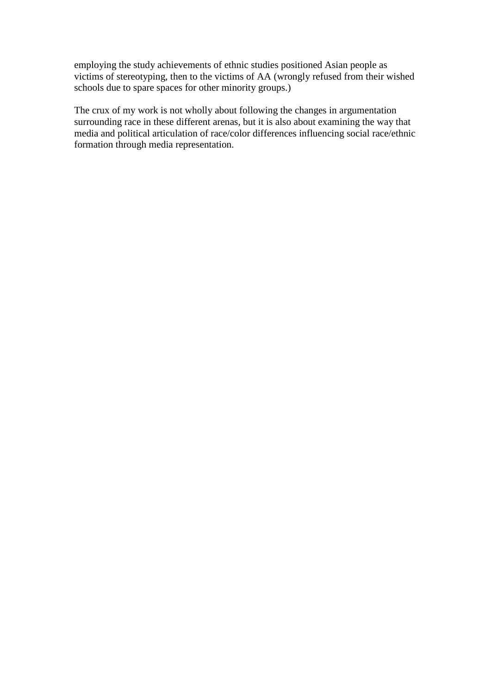employing the study achievements of ethnic studies positioned Asian people as victims of stereotyping, then to the victims of AA (wrongly refused from their wished schools due to spare spaces for other minority groups.)

The crux of my work is not wholly about following the changes in argumentation surrounding race in these different arenas, but it is also about examining the way that media and political articulation of race/color differences influencing social race/ethnic formation through media representation.